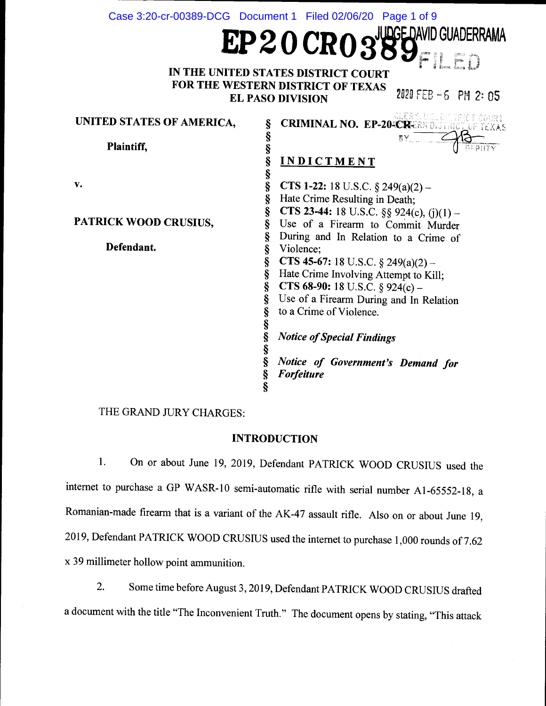|                              | Case 3:20-cr-00389-DCG  Document 1  Filed 02/06/20  Page 1 of 9 |
|------------------------------|-----------------------------------------------------------------|
|                              | $EP20$ $CRO$ $389$ $F1$ $ED3$                                   |
|                              |                                                                 |
|                              |                                                                 |
|                              | IN THE UNITED STATES DISTRICT COURT                             |
|                              | FOR THE WESTERN DISTRICT OF TEXAS<br>2020 FEB -6 PM 2: 05       |
|                              | <b>EL PASO DIVISION</b>                                         |
| UNITED STATES OF AMERICA,    | <b>CRIMINAL NO. EP-204CREANDISTRICT COURT</b><br>ş              |
|                              | 8Y                                                              |
| Plaintiff,                   | §<br>§<br>§                                                     |
|                              | <b>INDICTMENT</b>                                               |
|                              | §                                                               |
| v.                           | Ş<br>CTS 1-22: 18 U.S.C. $\S$ 249(a)(2) –                       |
|                              | §<br>Hate Crime Resulting in Death;                             |
| <b>PATRICK WOOD CRUSIUS,</b> | §<br><b>CTS 23-44:</b> 18 U.S.C. $\S\S 924(c)$ , (j)(1) –       |
|                              | §<br>Use of a Firearm to Commit Murder<br>§                     |
| Defendant.                   | During and In Relation to a Crime of<br>§<br>Violence;          |
|                              | ş<br>CTS 45-67: 18 U.S.C. $\S$ 249(a)(2) –                      |
|                              | §<br>Hate Crime Involving Attempt to Kill;                      |
|                              | §<br><b>CTS 68-90:</b> 18 U.S.C. § 924(c) –                     |
|                              | ş<br>Use of a Firearm During and In Relation                    |
|                              | to a Crime of Violence.                                         |
|                              |                                                                 |
|                              | SS SS SS<br><b>Notice of Special Findings</b>                   |
|                              | Notice of Government's Demand for                               |
|                              | S<br>S<br>S<br>S<br><b>Forfeiture</b>                           |
|                              |                                                                 |

THE GRAND JURY CHARGES:

## INTRODUCTION

1. On or about June 19, 2019, Defendant PATRICK WOOD CRUSIUS used the internet to purchase a GP WASR-10 semi-automatic rifle with serial number A1-65552-18, a Romanian-made firearm that is a variant of the AK-47 assault rifle. Also on or about June 19, 2019, Defendant PATRICK WOOD CRUSIUS used the internet to purchase 1,000 rounds of 7.62 x 39 millimeter hollow point ammunition.

2. Some time before August 3, 2019, Defendant PATRICK WOOD CRUSIUS drafted a document with the title "The Inconvenient Truth." The document opens by stating, "This attack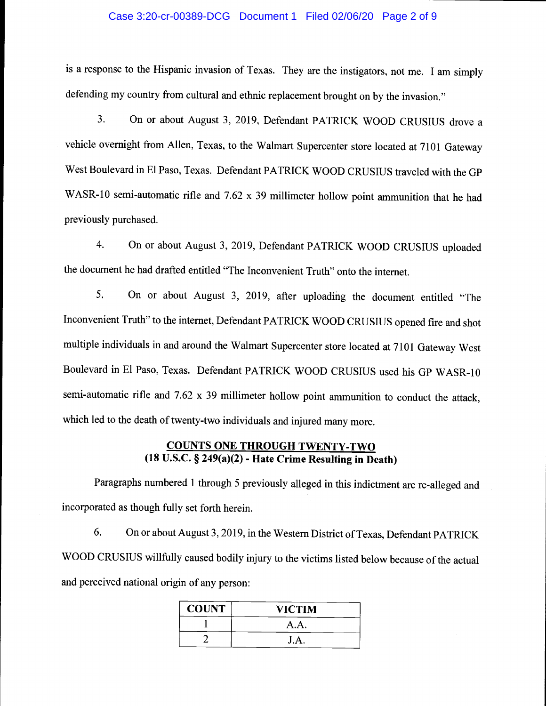### Case 3:20-cr-00389-DCG Document 1 Filed 02/06/20 Page 2 of 9

is a response to the Hispanic invasion of Texas. They are the instigators, not me. I am simply defending my country from cultural and ethnic replacement brought on by the invasion."

3. On or about August 3, 2019, Defendant PATRICK WOOD CRUSIUS drove a vehicle overnight from Allen, Texas, to the Walmart Supercenter store located at 7101 Gateway West Boulevard in El Paso, Texas. Defendant PATRICK WOOD CRUSIUS traveled with the GP WASR-10 semi-automatic rifle and 7.62 x 39 millimeter hollow point ammunition that he had previously purchased.

4. On or about August 3, 2019, Defendant PATRICK WOOD CRUSIUS uploaded the document he had drafted entitled "The Inconvenient Truth" onto the internet.

5. On or about August 3, 2019, after uploading the document entitled "The Inconvenient Truth" to the internet, Defendant PATRICK WOOD CRUSIUS opened fire and shot multiple individuals in and around the Walmart Supercenter store located at 7101 Gateway West Boulevard in El Paso, Texas. Defendant PATRICK WOOD CRUSIUS used his GP WASR- 10 semi-automatic rifle and 7.62 x 39 millimeter hollow point ammunition to conduct the attack, which led to the death of twenty-two individuals and injured many more.

# COUNTS ONE THROUGH TWENTY-TWO (18 U.S.C. § 249(a)(2) - Hate Crime Resulting in Death)

Paragraphs numbered 1 through 5 previously alleged in this indictment are re-alleged and incorporated as though fully set forth herein.

6. On or about August 3, 2019, in the Western District of Texas, Defendant PATRICK WOOD CRUSIUS willfully caused bodily injury to the victims listed below because of the actual and perceived national origin of any person:

| <b>COUNT</b> | <b>VICTIM</b> |
|--------------|---------------|
|              | A.A.          |
|              | J.A.          |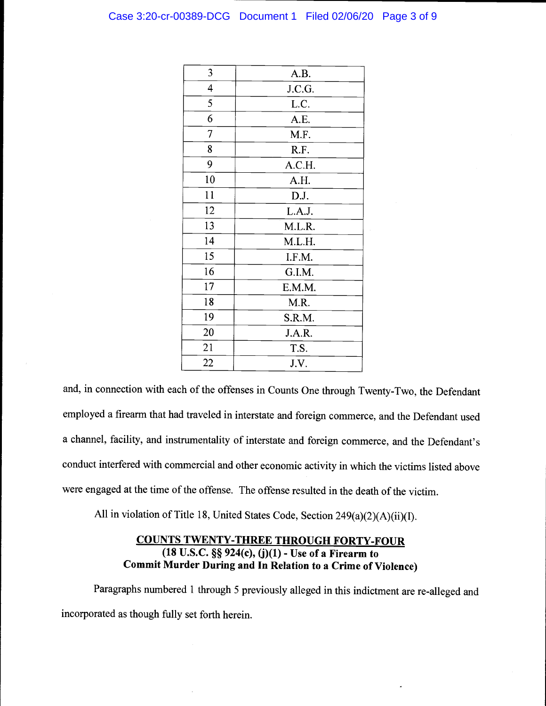### Case 3:20-cr-00389-DCG Document 1 Filed 02/06/20 Page 3 of 9

| 3              | A.B.   |
|----------------|--------|
| 4              | J.C.G. |
| 5              | L.C.   |
| 6              | A.E.   |
| $\overline{7}$ | M.F.   |
| 8              | R.F.   |
| 9              | A.C.H. |
| 10             | A.H.   |
| 11             | D.J.   |
| 12             | L.A.J. |
| 13             | M.L.R. |
| 14             | M.L.H. |
| 15             | I.F.M. |
| 16             | G.I.M. |
| 17             | E.M.M. |
| 18             | M.R.   |
| 19             | S.R.M. |
| 20             | J.A.R. |
| 21             | T.S.   |
| 22             | J.V.   |

and, in connection with each of the offenses in Counts One through Twenty-Two, the Defendant employed a firearm that had traveled in interstate and foreign commerce, and the Defendant used a channel, facility, and instrumentality of interstate and foreign commerce, and the Defendant's conduct interfered with commercial and other economic activity in which the victims listed above were engaged at the time of the offense. The offense resulted in the death of the victim.

All in violation of Title 18, United States Code, Section 249(a)(2)(A)(ii)(I).

# COUNTS TWENTY-THREE THROUGH FORTY-FOUR (18 U.S.C. § 924(c), (j)(1) - Use of a Firearm to Commit Murder During and In Relation to a Crime of Violence)

Paragraphs numbered 1 through 5 previously alleged in this indictment are re-alleged and incorporated as though fully set forth herein.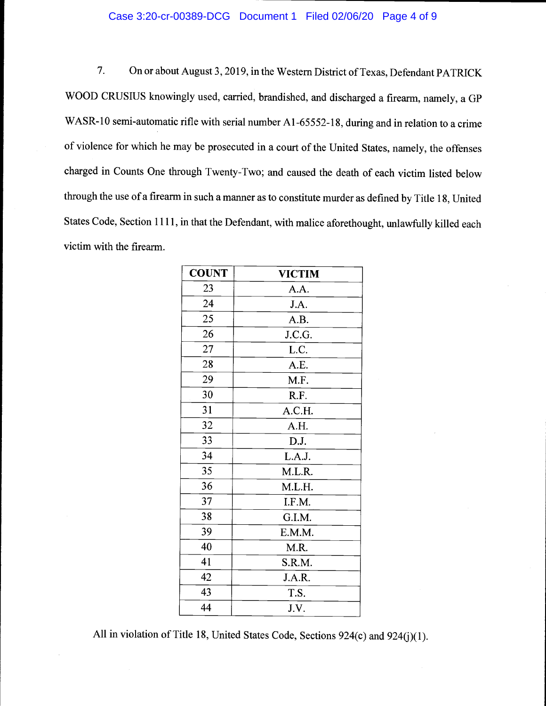### Case 3:20-cr-00389-DCG Document 1 Filed 02/06/20 Page 4 of 9

7. On or about August 3, 2019, in the Western District of Texas, Defendant PATRICK WOOD CRUSIUS knowingly used, carried, brandished, and discharged a firearm, namely, a GP WASR-10 semi-automatic rifle with serial number A1-65552-18, during and in relation to a crime of violence for which he may be prosecuted in a court of the United States, namely, the offenses charged in Counts One through Twenty-Two; and caused the death of each victim listed below through the use of a firearm in such a manner as to constitute murder as defined by Title 18, United States Code, Section 1111, in that the Defendant, with malice aforethought, unlawfully killed each victim with the firearm.

| <b>COUNT</b> | <b>VICTIM</b> |
|--------------|---------------|
| 23           | A.A.          |
| 24           | J.A.          |
| 25           | A.B.          |
| 26           | J.C.G.        |
| 27           | L.C.          |
| 28           | A.E.          |
| 29           | M.F.          |
| 30           | R.F.          |
| 31           | A.C.H.        |
| 32           | A.H.          |
| 33           | D.J.          |
| 34           | L.A.J.        |
| 35           | M.L.R.        |
| 36           | M.L.H.        |
| 37           | I.F.M.        |
| 38           | G.I.M.        |
| 39           | E.M.M.        |
| 40           | M.R.          |
| 41           | S.R.M.        |
| 42           | J.A.R.        |
| 43           | T.S.          |
| 44           | J.V.          |

All in violation of Title 18, United States Code, Sections 924(c) and 924(j)(1).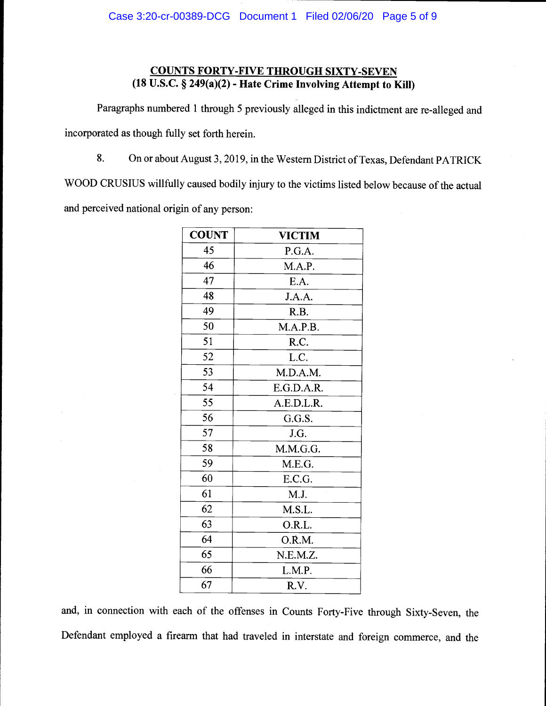# COUNTS FORTY-FIVE THROUGH SIXTY-SEVEN (18 U.S.C. § 249(a)(2) - Hate Crime Involving Attempt to Kill)

Paragraphs numbered 1 through 5 previously alleged in this indictment are re-alleged and incorporated as though fully set forth herein.

8. On or about August 3,2019, in the Western District of Texas, Defendant PATRICK

WOOD CRUSIUS willfully caused bodily injury to the victims listed below because of the actual and perceived national origin of any person:

| <b>COUNT</b> | <b>VICTIM</b> |
|--------------|---------------|
| 45           | P.G.A.        |
| 46           | M.A.P.        |
| 47           | E.A.          |
| 48           | J.A.A.        |
| 49           | R.B.          |
| 50           | M.A.P.B.      |
| 51           | R.C.          |
| 52           | L.C.          |
| 53           | M.D.A.M.      |
| 54           | E.G.D.A.R.    |
| 55           | A.E.D.L.R.    |
| 56           | G.G.S.        |
| 57           | J.G.          |
| 58           | M.M.G.G.      |
| 59           | M.E.G.        |
| 60           | E.C.G.        |
| 61           | M.J.          |
| 62           | M.S.L.        |
| 63           | O.R.L.        |
| 64           | O.R.M.        |
| 65           | N.E.M.Z.      |
| 66           | L.M.P.        |
| 67           | R.V.          |

and, in connection with each of the offenses in Counts Forty-Five through Sixty-Seven, the Defendant employed a firearm that had traveled in interstate and foreign commerce, and the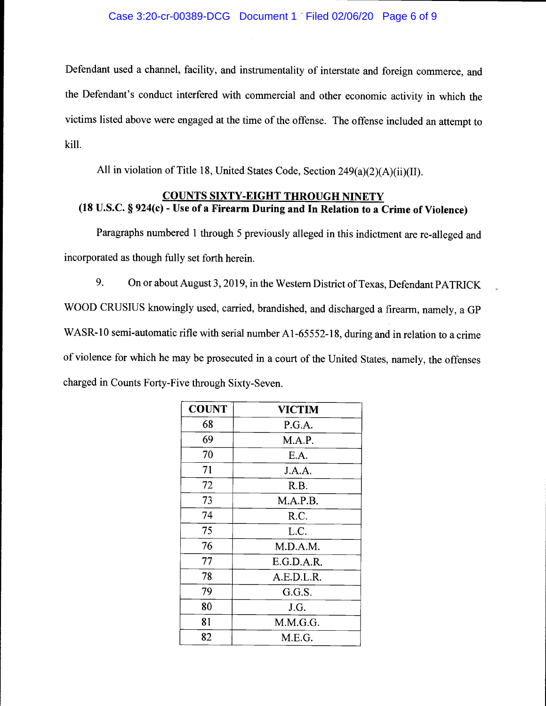Defendant used a channel, facility, and instrumentality of interstate and foreign commerce, and the Defendant's conduct interfered with commercial and other economic activity in which the victims listed above were engaged at the time of the offense. The offense included an attempt to kill.

All in violation of Title 18, United States Code, Section 249(a)(2)(A)(ii)(II).

## COUNTS SIXTY-EIGHT THROUGH NINETY (18 U.S.C. § 924(c) - Use of a Firearm During and In Relation to a Crime of Violence)

Paragraphs numbered 1 through 5 previously alleged in this indictment are re-alleged and incorporated as though fully set forth herein.

9. On or about August 3, 2019, in the Western District of Texas, Defendant PATRICK WOOD CRUSIUS knowingly used, carried, brandished, and discharged a firearm, namely, a GP WASR-10 semi-automatic rifle with serial number A1-65552-18, during and in relation to a crime of violence for which he may be prosecuted in a court of the United States, namely, the offenses charged in Counts Forty-Five through Sixty-Seven.

| <b>COUNT</b> | <b>VICTIM</b> |
|--------------|---------------|
| 68           | P.G.A.        |
| 69           | M.A.P.        |
| 70           | E.A.          |
| 71           | J.A.A.        |
| 72           | R.B.          |
| 73           | M.A.P.B.      |
| 74           | R.C.          |
| 75           | L.C.          |
| 76           | M.D.A.M.      |
| 77           | E.G.D.A.R.    |
| 78           | A.E.D.L.R.    |
| 79           | G.G.S.        |
| 80           | J.G.          |
| 81           | M.M.G.G.      |
| 82           | M.E.G.        |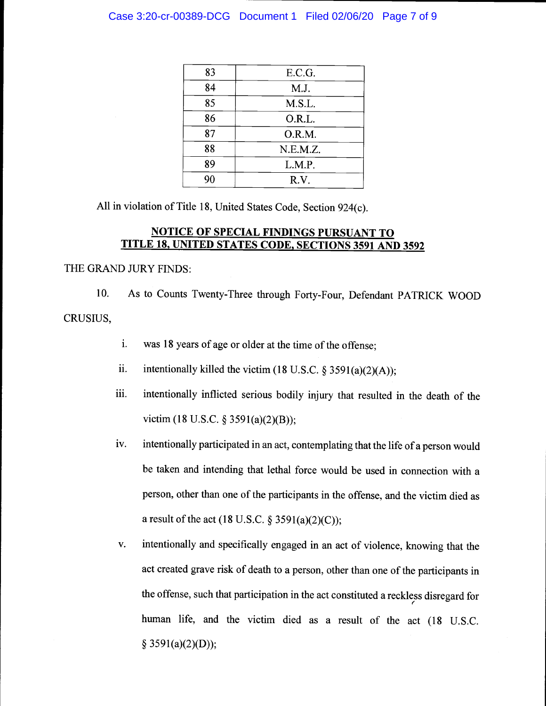### Case 3:20-cr-00389-DCG Document 1 Filed 02/06/20 Page 7 of 9

| E.C.G.   |
|----------|
| M.J.     |
| M.S.L.   |
| O.R.L.   |
| O.R.M.   |
| N.E.M.Z. |
| L.M.P.   |
| R.V.     |
|          |

All in violation of Title 18, United States Code, Section 924(c).

## NOTICE OF SPECIAL FINDINGS PURSUANT TO TITLE 18, UNITED STATES CODE. SECTIONS 3591 AND 3592

### THE GRAND JURY FINDS:

10. As to Counts Twenty-Three through Forty-Four, Defendant PATRICK WOOD CRUSIUS,

- i. was 18 years of age or older at the time of the offense;
- ii. intentionally killed the victim (18 U.S.C. § 3591(a)(2)(A));
- iii. intentionally inflicted serious bodily injury that resulted in the death of the victim (18 U.S.C. § 3591(a)(2)(B));
- iv. intentionally participated in an act, contemplating that the life of a person would be taken and intending that lethal force would be used in connection with a person, other than one of the participants in the offense, and the victim died as a result of the act (18 U.S.C.  $\S 3591(a)(2)(C)$ );
- v. intentionally and specifically engaged in an act of violence, knowing that the act created grave risk of death to a person, other than one of the participants in the offense, such that participation in the act constituted a reckless disregard for human life, and the victim died as a result of the act (18 U.S.C.  $§$  3591(a)(2)(D));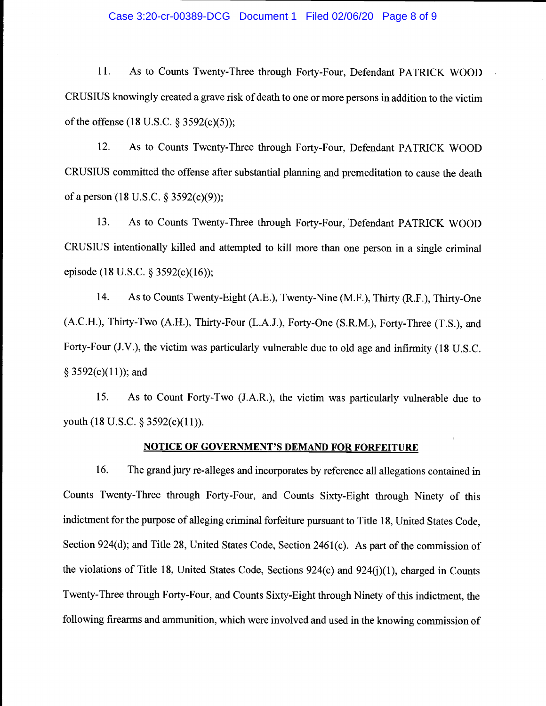### Case 3:20-cr-00389-DCG Document 1 Filed 02/06/20 Page 8 of 9

11. As to Counts Twenty-Three through Forty-Four, Defendant PATRICK WOOD CRUSIUS knowingly created a grave risk of death to one or more persons in addition to the victim of the offense (18 U.S.C. § 3592(c)(5));

12. As to Counts Twenty-Three through Forty-Four, Defendant PATRICK WOOD CRUSIUS committed the offense after substantial planning and premeditation to cause the death of a person (18 U.S.C. § 3592(c)(9));

13. As to Counts Twenty-Three through Forty-Four, Defendant PATRICK WOOD CRUSIUS intentionally killed and attempted to kill more than one person in a single criminal episode (18 U.S.C. § 3592(c)(16));

14. As to Counts Twenty-Eight (A.E.), Twenty-Nine (M.F.), Thirty (R.F.), Thirty-One (A.C.H.), Thirty-Two (A.FL), Thirty-Four (L.A.J.), Forty-One (S.R.M.), Forty-Three (T.S.), and Forty-Four (J.V.), the victim was particularly vulnerable due to old age and infirmity (18 U.S.C.  $§$  3592(c)(11)); and

15. As to Count Forty-Two (J.A.R.), the victim was particularly vulnerable due to youth (18 U.S.C. § 3592(c)(11)).

### NOTICE OF GOVERNMENT'S DEMAND FOR FORFEITURE

16. The grand jury re-alleges and incorporates by reference all allegations contained in Counts Twenty-Three through Forty-Four, and Counts Sixty-Eight through Ninety of this indictment for the purpose of alleging criminal forfeiture pursuant to Title 18, United States Code, Section 924(d); and Title 28, United States Code, Section 2461(c). As part of the commission of the violations of Title 18, United States Code, Sections 924(c) and 924(j)(1), charged in Counts Twenty-Three through Forty-Four, and Counts Sixty-Eight through Ninety of this indictment, the following firearms and ammunition, which were involved and used in the knowing commission of